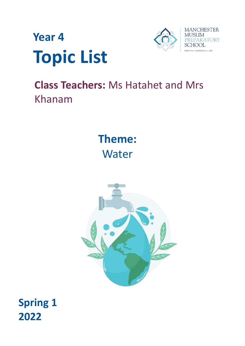



# **Class Teachers:** Ms Hatahet and Mrs Khanam

**Theme: Water** 



# **Spring 1 2022**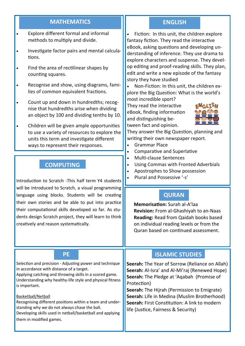# **MATHEMATICS ENGLISH**

- Explore different formal and informal methods to multiply and divide.
- Investigate factor pairs and mental calculations.
- Find the area of rectilinear shapes by counting squares.
- Recognise and show, using diagrams, families of common equivalent fractions.
- Count up and down in hundredths; recognise that hundredths arise when dividing an object by 100 and dividing tenths by 10.
- Children will be given ample opportunities to use a variety of resources to explore the units this term and investigate different ways to represent their responses.

# **COMPUTING**

Introduction to Scratch -This half term Y4 students | • Plural and Possessive '-s' will be introduced to Scratch, a visual programming language using blocks. Students will be creating their own stories and be able to put into practice their computational skills developed so far. As students design Scratch project, they will learn to think creatively and reason systematically.

Selection and precision - Adjusting power and technique in accordance with distance of a target.

Applying catching and throwing skills in a scored game. Understanding why healthy-life style and physical fitness is important.

#### Basketball/Netball

Recognising different positions within a team and understanding why we do not always chase the ball. Developing skills used in netball/basketball and applying

them in modified games.

 Fiction: In this unit, the children explore fantasy fiction. They read the interactive eBook, asking questions and developing understanding of inference. They use drama to explore characters and suspense. They develop editing and proof-reading skills. They plan, edit and write a new episode of the fantasy story they have studied

 Non-Fiction: In this unit, the children explore the Big Question: What is the world's most incredible sport?

They read the interactive eBook, finding information and distinguishing between fact and opinion.



They answer the Big Question, planning and writing their own newspaper report.

- Grammar Place
- Comparative and Superlative
- Multi-clause Sentences
- Using Commas with Fronted Adverbials
- Apostrophes to Show possession
- 

# **QURAN**

**Memorisation:** Surah al-A'laa **Revision:** From al-Ghashiyah to an-Naas **Reading:** Read from Qaidah books based on individual reading levels or from the Quran based on continued assessment.

# **PE ISLAMIC STUDIES**

**Seerah:** The Year of Sorrow (Reliance on Allah) **Seerah:** Al-Isra' and Al-Mi'raj (Renewed Hope) **Seerah:** The Pledge at 'Aqabah (Promise of Protection)

**Seerah:** The Hijrah (Permission to Emigrate) **Seerah:** Life in Medina (Muslim Brotherhood) **Seerah:** First Constitution: A link to modern life (Justice, Fairness & Security)